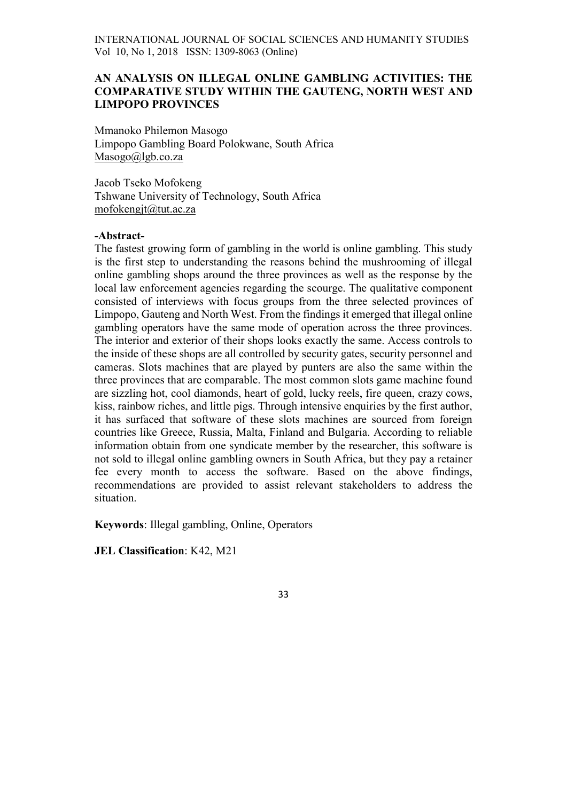# AN ANALYSIS ON ILLEGAL ONLINE GAMBLING ACTIVITIES: THE COMPARATIVE STUDY WITHIN THE GAUTENG, NORTH WEST AND LIMPOPO PROVINCES

Mmanoko Philemon Masogo Limpopo Gambling Board Polokwane, South Africa Masogo@lgb.co.za

Jacob Tseko Mofokeng Tshwane University of Technology, South Africa mofokengjt@tut.ac.za

# -Abstract-

The fastest growing form of gambling in the world is online gambling. This study is the first step to understanding the reasons behind the mushrooming of illegal online gambling shops around the three provinces as well as the response by the local law enforcement agencies regarding the scourge. The qualitative component consisted of interviews with focus groups from the three selected provinces of Limpopo, Gauteng and North West. From the findings it emerged that illegal online gambling operators have the same mode of operation across the three provinces. The interior and exterior of their shops looks exactly the same. Access controls to the inside of these shops are all controlled by security gates, security personnel and cameras. Slots machines that are played by punters are also the same within the three provinces that are comparable. The most common slots game machine found are sizzling hot, cool diamonds, heart of gold, lucky reels, fire queen, crazy cows, kiss, rainbow riches, and little pigs. Through intensive enquiries by the first author, it has surfaced that software of these slots machines are sourced from foreign countries like Greece, Russia, Malta, Finland and Bulgaria. According to reliable information obtain from one syndicate member by the researcher, this software is not sold to illegal online gambling owners in South Africa, but they pay a retainer fee every month to access the software. Based on the above findings, recommendations are provided to assist relevant stakeholders to address the situation.

Keywords: Illegal gambling, Online, Operators

JEL Classification: K42, M21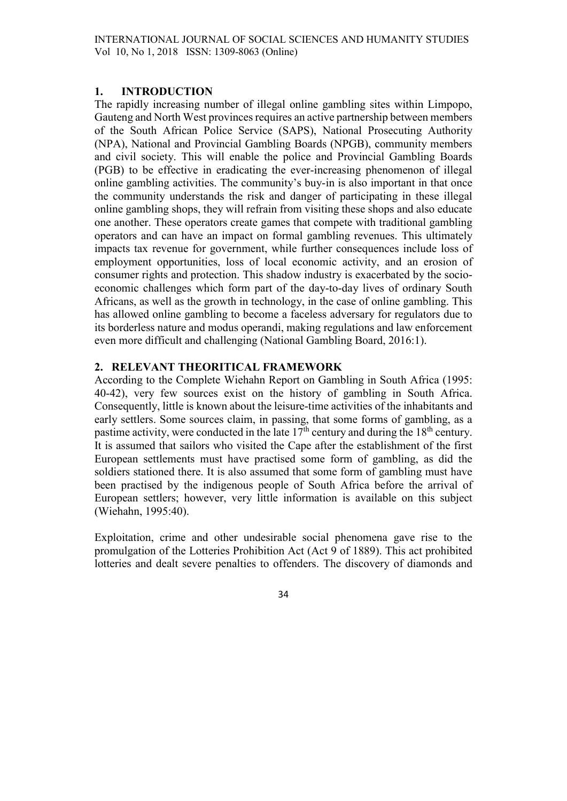### 1. INTRODUCTION

The rapidly increasing number of illegal online gambling sites within Limpopo, Gauteng and North West provinces requires an active partnership between members of the South African Police Service (SAPS), National Prosecuting Authority (NPA), National and Provincial Gambling Boards (NPGB), community members and civil society. This will enable the police and Provincial Gambling Boards (PGB) to be effective in eradicating the ever-increasing phenomenon of illegal online gambling activities. The community's buy-in is also important in that once the community understands the risk and danger of participating in these illegal online gambling shops, they will refrain from visiting these shops and also educate one another. These operators create games that compete with traditional gambling operators and can have an impact on formal gambling revenues. This ultimately impacts tax revenue for government, while further consequences include loss of employment opportunities, loss of local economic activity, and an erosion of consumer rights and protection. This shadow industry is exacerbated by the socioeconomic challenges which form part of the day-to-day lives of ordinary South Africans, as well as the growth in technology, in the case of online gambling. This has allowed online gambling to become a faceless adversary for regulators due to its borderless nature and modus operandi, making regulations and law enforcement even more difficult and challenging (National Gambling Board, 2016:1).

# 2. RELEVANT THEORITICAL FRAMEWORK

According to the Complete Wiehahn Report on Gambling in South Africa (1995: 40-42), very few sources exist on the history of gambling in South Africa. Consequently, little is known about the leisure-time activities of the inhabitants and early settlers. Some sources claim, in passing, that some forms of gambling, as a pastime activity, were conducted in the late  $17<sup>th</sup>$  century and during the  $18<sup>th</sup>$  century. It is assumed that sailors who visited the Cape after the establishment of the first European settlements must have practised some form of gambling, as did the soldiers stationed there. It is also assumed that some form of gambling must have been practised by the indigenous people of South Africa before the arrival of European settlers; however, very little information is available on this subject (Wiehahn, 1995:40).

Exploitation, crime and other undesirable social phenomena gave rise to the promulgation of the Lotteries Prohibition Act (Act 9 of 1889). This act prohibited lotteries and dealt severe penalties to offenders. The discovery of diamonds and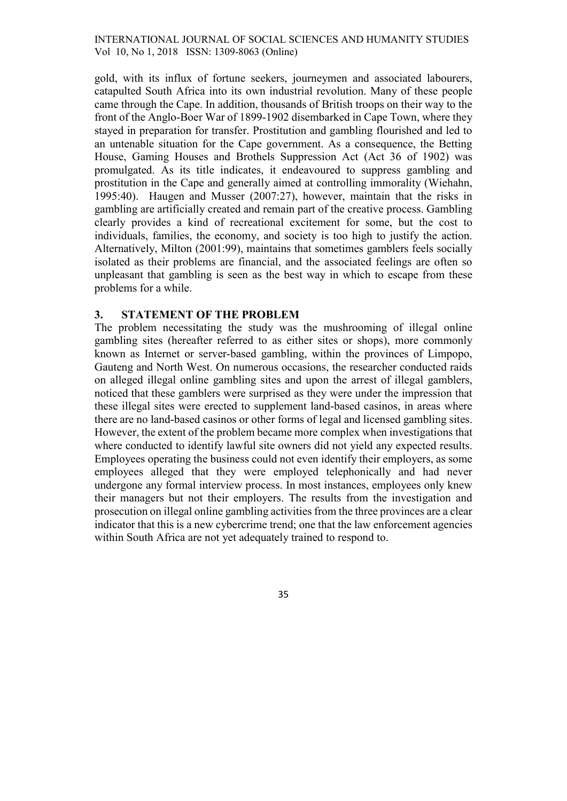gold, with its influx of fortune seekers, journeymen and associated labourers, catapulted South Africa into its own industrial revolution. Many of these people came through the Cape. In addition, thousands of British troops on their way to the front of the Anglo-Boer War of 1899-1902 disembarked in Cape Town, where they stayed in preparation for transfer. Prostitution and gambling flourished and led to an untenable situation for the Cape government. As a consequence, the Betting House, Gaming Houses and Brothels Suppression Act (Act 36 of 1902) was promulgated. As its title indicates, it endeavoured to suppress gambling and prostitution in the Cape and generally aimed at controlling immorality (Wiehahn, 1995:40). Haugen and Musser (2007:27), however, maintain that the risks in gambling are artificially created and remain part of the creative process. Gambling clearly provides a kind of recreational excitement for some, but the cost to individuals, families, the economy, and society is too high to justify the action. Alternatively, Milton (2001:99), maintains that sometimes gamblers feels socially isolated as their problems are financial, and the associated feelings are often so unpleasant that gambling is seen as the best way in which to escape from these problems for a while.

### 3. STATEMENT OF THE PROBLEM

The problem necessitating the study was the mushrooming of illegal online gambling sites (hereafter referred to as either sites or shops), more commonly known as Internet or server-based gambling, within the provinces of Limpopo, Gauteng and North West. On numerous occasions, the researcher conducted raids on alleged illegal online gambling sites and upon the arrest of illegal gamblers, noticed that these gamblers were surprised as they were under the impression that these illegal sites were erected to supplement land-based casinos, in areas where there are no land-based casinos or other forms of legal and licensed gambling sites. However, the extent of the problem became more complex when investigations that where conducted to identify lawful site owners did not yield any expected results. Employees operating the business could not even identify their employers, as some employees alleged that they were employed telephonically and had never undergone any formal interview process. In most instances, employees only knew their managers but not their employers. The results from the investigation and prosecution on illegal online gambling activities from the three provinces are a clear indicator that this is a new cybercrime trend; one that the law enforcement agencies within South Africa are not yet adequately trained to respond to.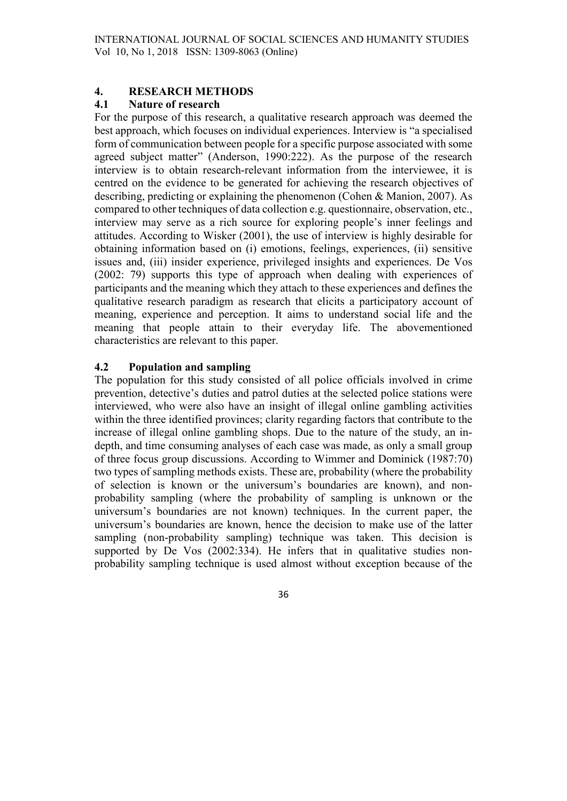# 4. RESEARCH METHODS

# 4.1 Nature of research

For the purpose of this research, a qualitative research approach was deemed the best approach, which focuses on individual experiences. Interview is "a specialised form of communication between people for a specific purpose associated with some agreed subject matter" (Anderson, 1990:222). As the purpose of the research interview is to obtain research-relevant information from the interviewee, it is centred on the evidence to be generated for achieving the research objectives of describing, predicting or explaining the phenomenon (Cohen & Manion, 2007). As compared to other techniques of data collection e.g. questionnaire, observation, etc., interview may serve as a rich source for exploring people's inner feelings and attitudes. According to Wisker (2001), the use of interview is highly desirable for obtaining information based on (i) emotions, feelings, experiences, (ii) sensitive issues and, (iii) insider experience, privileged insights and experiences. De Vos (2002: 79) supports this type of approach when dealing with experiences of participants and the meaning which they attach to these experiences and defines the qualitative research paradigm as research that elicits a participatory account of meaning, experience and perception. It aims to understand social life and the meaning that people attain to their everyday life. The abovementioned characteristics are relevant to this paper.

# 4.2 Population and sampling

The population for this study consisted of all police officials involved in crime prevention, detective's duties and patrol duties at the selected police stations were interviewed, who were also have an insight of illegal online gambling activities within the three identified provinces; clarity regarding factors that contribute to the increase of illegal online gambling shops. Due to the nature of the study, an indepth, and time consuming analyses of each case was made, as only a small group of three focus group discussions. According to Wimmer and Dominick (1987:70) two types of sampling methods exists. These are, probability (where the probability of selection is known or the universum's boundaries are known), and nonprobability sampling (where the probability of sampling is unknown or the universum's boundaries are not known) techniques. In the current paper, the universum's boundaries are known, hence the decision to make use of the latter sampling (non-probability sampling) technique was taken. This decision is supported by De Vos (2002:334). He infers that in qualitative studies nonprobability sampling technique is used almost without exception because of the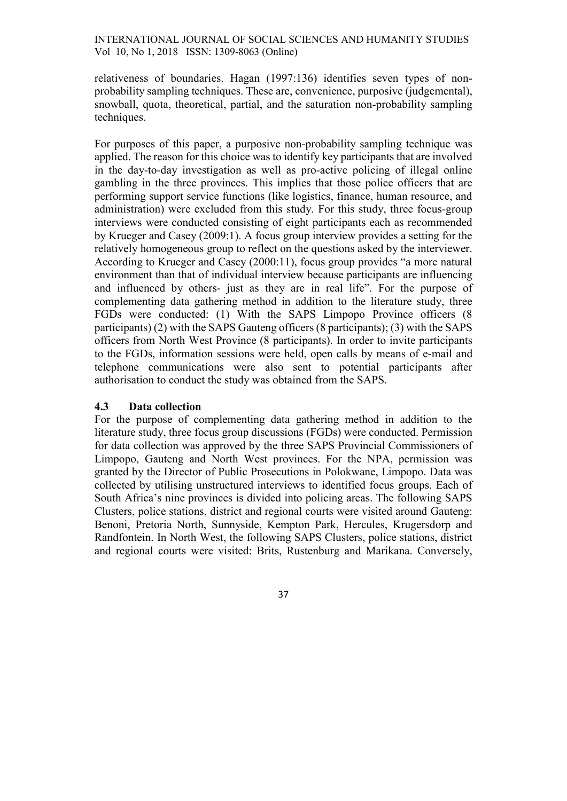relativeness of boundaries. Hagan (1997:136) identifies seven types of nonprobability sampling techniques. These are, convenience, purposive (judgemental), snowball, quota, theoretical, partial, and the saturation non-probability sampling techniques.

For purposes of this paper, a purposive non-probability sampling technique was applied. The reason for this choice was to identify key participants that are involved in the day-to-day investigation as well as pro-active policing of illegal online gambling in the three provinces. This implies that those police officers that are performing support service functions (like logistics, finance, human resource, and administration) were excluded from this study. For this study, three focus-group interviews were conducted consisting of eight participants each as recommended by Krueger and Casey (2009:1). A focus group interview provides a setting for the relatively homogeneous group to reflect on the questions asked by the interviewer. According to Krueger and Casey (2000:11), focus group provides "a more natural environment than that of individual interview because participants are influencing and influenced by others- just as they are in real life". For the purpose of complementing data gathering method in addition to the literature study, three FGDs were conducted: (1) With the SAPS Limpopo Province officers (8 participants) (2) with the SAPS Gauteng officers (8 participants); (3) with the SAPS officers from North West Province (8 participants). In order to invite participants to the FGDs, information sessions were held, open calls by means of e-mail and telephone communications were also sent to potential participants after authorisation to conduct the study was obtained from the SAPS.

### 4.3 Data collection

For the purpose of complementing data gathering method in addition to the literature study, three focus group discussions (FGDs) were conducted. Permission for data collection was approved by the three SAPS Provincial Commissioners of Limpopo, Gauteng and North West provinces. For the NPA, permission was granted by the Director of Public Prosecutions in Polokwane, Limpopo. Data was collected by utilising unstructured interviews to identified focus groups. Each of South Africa's nine provinces is divided into policing areas. The following SAPS Clusters, police stations, district and regional courts were visited around Gauteng: Benoni, Pretoria North, Sunnyside, Kempton Park, Hercules, Krugersdorp and Randfontein. In North West, the following SAPS Clusters, police stations, district and regional courts were visited: Brits, Rustenburg and Marikana. Conversely,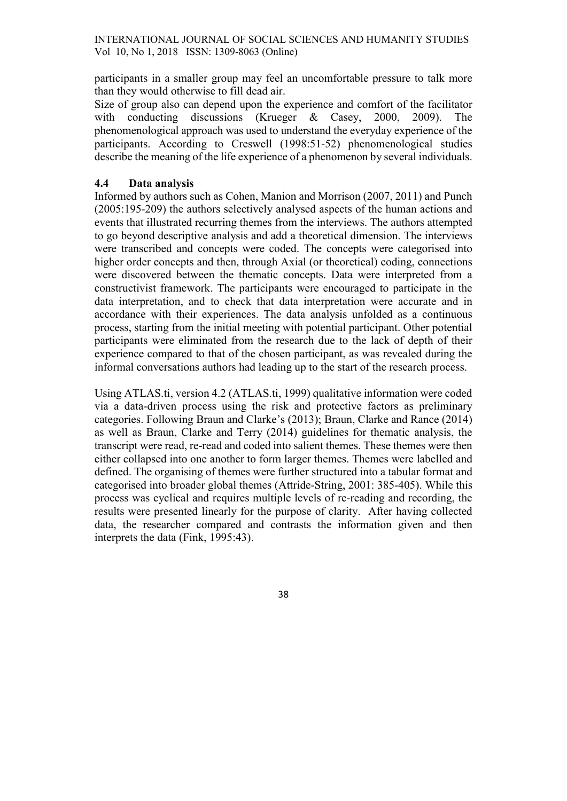participants in a smaller group may feel an uncomfortable pressure to talk more than they would otherwise to fill dead air.

Size of group also can depend upon the experience and comfort of the facilitator with conducting discussions (Krueger & Casey, 2000, 2009). The phenomenological approach was used to understand the everyday experience of the participants. According to Creswell (1998:51-52) phenomenological studies describe the meaning of the life experience of a phenomenon by several individuals.

# 4.4 Data analysis

Informed by authors such as Cohen, Manion and Morrison (2007, 2011) and Punch (2005:195-209) the authors selectively analysed aspects of the human actions and events that illustrated recurring themes from the interviews. The authors attempted to go beyond descriptive analysis and add a theoretical dimension. The interviews were transcribed and concepts were coded. The concepts were categorised into higher order concepts and then, through Axial (or theoretical) coding, connections were discovered between the thematic concepts. Data were interpreted from a constructivist framework. The participants were encouraged to participate in the data interpretation, and to check that data interpretation were accurate and in accordance with their experiences. The data analysis unfolded as a continuous process, starting from the initial meeting with potential participant. Other potential participants were eliminated from the research due to the lack of depth of their experience compared to that of the chosen participant, as was revealed during the informal conversations authors had leading up to the start of the research process.

Using ATLAS.ti, version 4.2 (ATLAS.ti, 1999) qualitative information were coded via a data-driven process using the risk and protective factors as preliminary categories. Following Braun and Clarke's (2013); Braun, Clarke and Rance (2014) as well as Braun, Clarke and Terry (2014) guidelines for thematic analysis, the transcript were read, re-read and coded into salient themes. These themes were then either collapsed into one another to form larger themes. Themes were labelled and defined. The organising of themes were further structured into a tabular format and categorised into broader global themes (Attride-String, 2001: 385-405). While this process was cyclical and requires multiple levels of re-reading and recording, the results were presented linearly for the purpose of clarity. After having collected data, the researcher compared and contrasts the information given and then interprets the data (Fink, 1995:43).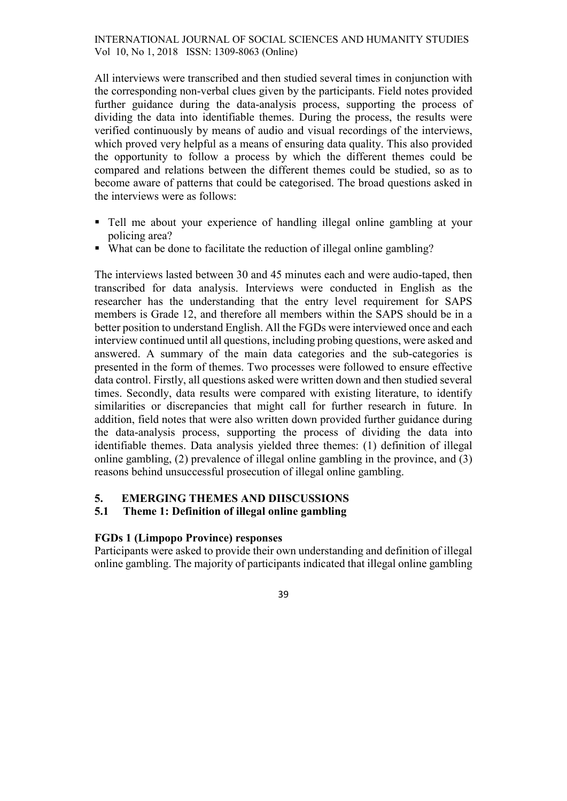All interviews were transcribed and then studied several times in conjunction with the corresponding non-verbal clues given by the participants. Field notes provided further guidance during the data-analysis process, supporting the process of dividing the data into identifiable themes. During the process, the results were verified continuously by means of audio and visual recordings of the interviews, which proved very helpful as a means of ensuring data quality. This also provided the opportunity to follow a process by which the different themes could be compared and relations between the different themes could be studied, so as to become aware of patterns that could be categorised. The broad questions asked in the interviews were as follows:

- Tell me about your experience of handling illegal online gambling at your policing area?
- What can be done to facilitate the reduction of illegal online gambling?

The interviews lasted between 30 and 45 minutes each and were audio-taped, then transcribed for data analysis. Interviews were conducted in English as the researcher has the understanding that the entry level requirement for SAPS members is Grade 12, and therefore all members within the SAPS should be in a better position to understand English. All the FGDs were interviewed once and each interview continued until all questions, including probing questions, were asked and answered. A summary of the main data categories and the sub-categories is presented in the form of themes. Two processes were followed to ensure effective data control. Firstly, all questions asked were written down and then studied several times. Secondly, data results were compared with existing literature, to identify similarities or discrepancies that might call for further research in future. In addition, field notes that were also written down provided further guidance during the data-analysis process, supporting the process of dividing the data into identifiable themes. Data analysis yielded three themes: (1) definition of illegal online gambling, (2) prevalence of illegal online gambling in the province, and (3) reasons behind unsuccessful prosecution of illegal online gambling.

# 5. EMERGING THEMES AND DIISCUSSIONS

# 5.1 Theme 1: Definition of illegal online gambling

# FGDs 1 (Limpopo Province) responses

Participants were asked to provide their own understanding and definition of illegal online gambling. The majority of participants indicated that illegal online gambling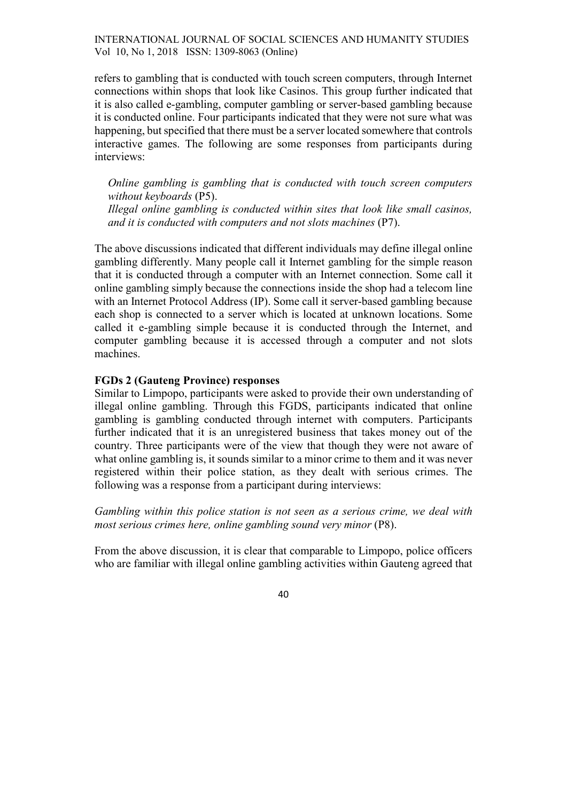refers to gambling that is conducted with touch screen computers, through Internet connections within shops that look like Casinos. This group further indicated that it is also called e-gambling, computer gambling or server-based gambling because it is conducted online. Four participants indicated that they were not sure what was happening, but specified that there must be a server located somewhere that controls interactive games. The following are some responses from participants during interviews:

Online gambling is gambling that is conducted with touch screen computers without keyboards (P5).

Illegal online gambling is conducted within sites that look like small casinos, and it is conducted with computers and not slots machines (P7).

The above discussions indicated that different individuals may define illegal online gambling differently. Many people call it Internet gambling for the simple reason that it is conducted through a computer with an Internet connection. Some call it online gambling simply because the connections inside the shop had a telecom line with an Internet Protocol Address (IP). Some call it server-based gambling because each shop is connected to a server which is located at unknown locations. Some called it e-gambling simple because it is conducted through the Internet, and computer gambling because it is accessed through a computer and not slots machines.

### FGDs 2 (Gauteng Province) responses

Similar to Limpopo, participants were asked to provide their own understanding of illegal online gambling. Through this FGDS, participants indicated that online gambling is gambling conducted through internet with computers. Participants further indicated that it is an unregistered business that takes money out of the country. Three participants were of the view that though they were not aware of what online gambling is, it sounds similar to a minor crime to them and it was never registered within their police station, as they dealt with serious crimes. The following was a response from a participant during interviews:

Gambling within this police station is not seen as a serious crime, we deal with most serious crimes here, online gambling sound very minor (P8).

From the above discussion, it is clear that comparable to Limpopo, police officers who are familiar with illegal online gambling activities within Gauteng agreed that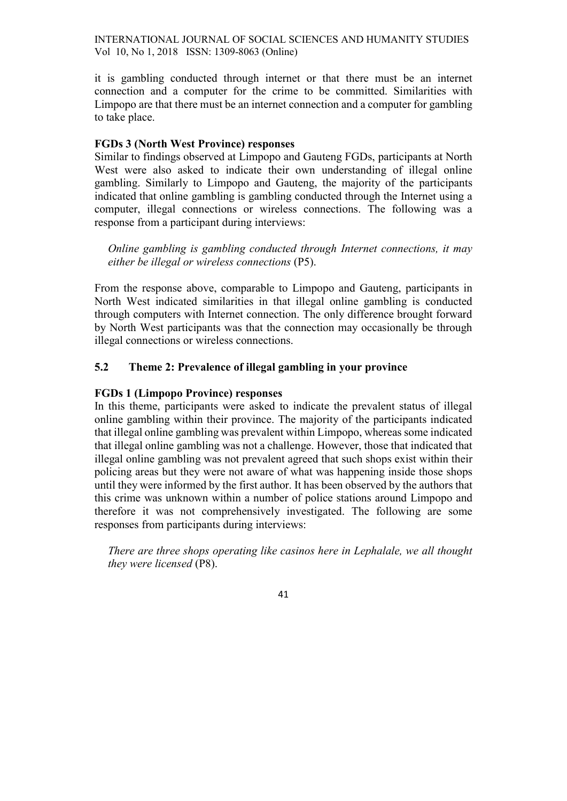it is gambling conducted through internet or that there must be an internet connection and a computer for the crime to be committed. Similarities with Limpopo are that there must be an internet connection and a computer for gambling to take place.

### FGDs 3 (North West Province) responses

Similar to findings observed at Limpopo and Gauteng FGDs, participants at North West were also asked to indicate their own understanding of illegal online gambling. Similarly to Limpopo and Gauteng, the majority of the participants indicated that online gambling is gambling conducted through the Internet using a computer, illegal connections or wireless connections. The following was a response from a participant during interviews:

Online gambling is gambling conducted through Internet connections, it may either be illegal or wireless connections (P5).

From the response above, comparable to Limpopo and Gauteng, participants in North West indicated similarities in that illegal online gambling is conducted through computers with Internet connection. The only difference brought forward by North West participants was that the connection may occasionally be through illegal connections or wireless connections.

### 5.2 Theme 2: Prevalence of illegal gambling in your province

#### FGDs 1 (Limpopo Province) responses

In this theme, participants were asked to indicate the prevalent status of illegal online gambling within their province. The majority of the participants indicated that illegal online gambling was prevalent within Limpopo, whereas some indicated that illegal online gambling was not a challenge. However, those that indicated that illegal online gambling was not prevalent agreed that such shops exist within their policing areas but they were not aware of what was happening inside those shops until they were informed by the first author. It has been observed by the authors that this crime was unknown within a number of police stations around Limpopo and therefore it was not comprehensively investigated. The following are some responses from participants during interviews:

There are three shops operating like casinos here in Lephalale, we all thought they were licensed (P8).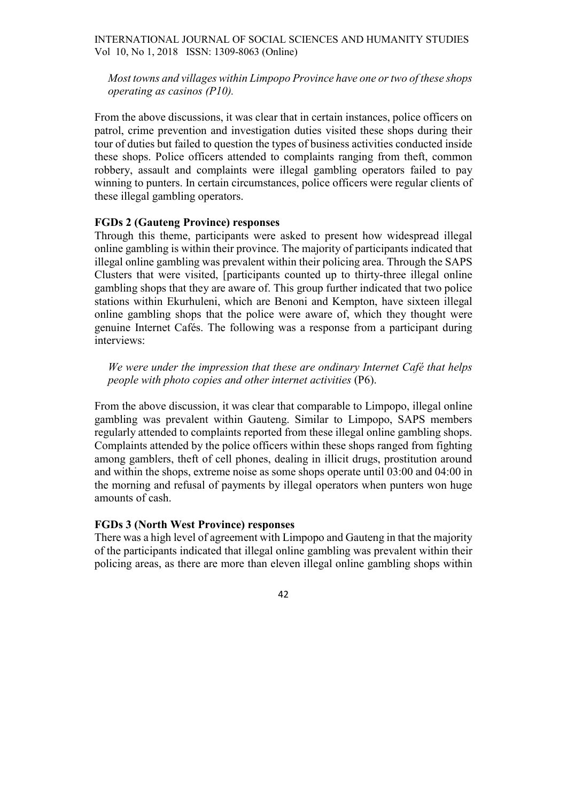Most towns and villages within Limpopo Province have one or two of these shops operating as casinos (P10).

From the above discussions, it was clear that in certain instances, police officers on patrol, crime prevention and investigation duties visited these shops during their tour of duties but failed to question the types of business activities conducted inside these shops. Police officers attended to complaints ranging from theft, common robbery, assault and complaints were illegal gambling operators failed to pay winning to punters. In certain circumstances, police officers were regular clients of these illegal gambling operators.

#### FGDs 2 (Gauteng Province) responses

Through this theme, participants were asked to present how widespread illegal online gambling is within their province. The majority of participants indicated that illegal online gambling was prevalent within their policing area. Through the SAPS Clusters that were visited, [participants counted up to thirty-three illegal online gambling shops that they are aware of. This group further indicated that two police stations within Ekurhuleni, which are Benoni and Kempton, have sixteen illegal online gambling shops that the police were aware of, which they thought were genuine Internet Cafés. The following was a response from a participant during interviews:

We were under the impression that these are ondinary Internet Café that helps people with photo copies and other internet activities (P6).

From the above discussion, it was clear that comparable to Limpopo, illegal online gambling was prevalent within Gauteng. Similar to Limpopo, SAPS members regularly attended to complaints reported from these illegal online gambling shops. Complaints attended by the police officers within these shops ranged from fighting among gamblers, theft of cell phones, dealing in illicit drugs, prostitution around and within the shops, extreme noise as some shops operate until 03:00 and 04:00 in the morning and refusal of payments by illegal operators when punters won huge amounts of cash.

#### FGDs 3 (North West Province) responses

There was a high level of agreement with Limpopo and Gauteng in that the majority of the participants indicated that illegal online gambling was prevalent within their policing areas, as there are more than eleven illegal online gambling shops within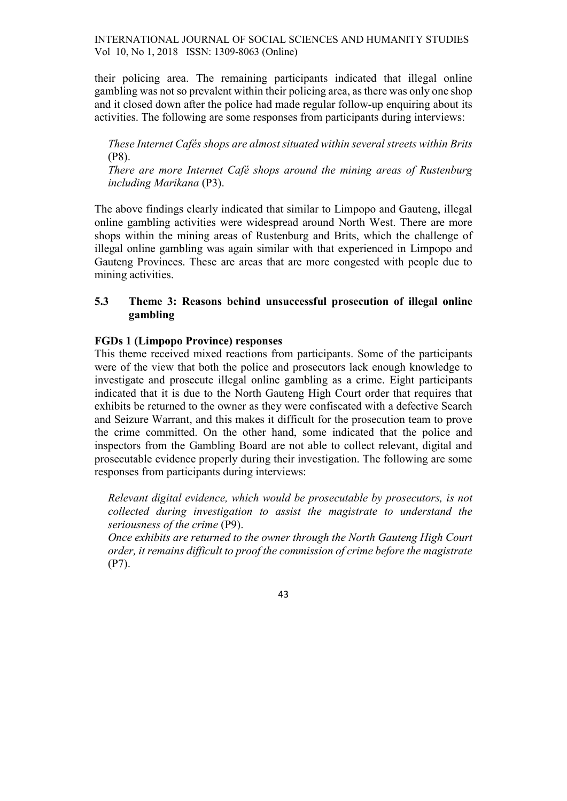their policing area. The remaining participants indicated that illegal online gambling was not so prevalent within their policing area, as there was only one shop and it closed down after the police had made regular follow-up enquiring about its activities. The following are some responses from participants during interviews:

These Internet Cafés shops are almost situated within several streets within Brits (P8).

There are more Internet Café shops around the mining areas of Rustenburg including Marikana (P3).

The above findings clearly indicated that similar to Limpopo and Gauteng, illegal online gambling activities were widespread around North West. There are more shops within the mining areas of Rustenburg and Brits, which the challenge of illegal online gambling was again similar with that experienced in Limpopo and Gauteng Provinces. These are areas that are more congested with people due to mining activities.

# 5.3 Theme 3: Reasons behind unsuccessful prosecution of illegal online gambling

### FGDs 1 (Limpopo Province) responses

This theme received mixed reactions from participants. Some of the participants were of the view that both the police and prosecutors lack enough knowledge to investigate and prosecute illegal online gambling as a crime. Eight participants indicated that it is due to the North Gauteng High Court order that requires that exhibits be returned to the owner as they were confiscated with a defective Search and Seizure Warrant, and this makes it difficult for the prosecution team to prove the crime committed. On the other hand, some indicated that the police and inspectors from the Gambling Board are not able to collect relevant, digital and prosecutable evidence properly during their investigation. The following are some responses from participants during interviews:

Relevant digital evidence, which would be prosecutable by prosecutors, is not collected during investigation to assist the magistrate to understand the seriousness of the crime (P9).

Once exhibits are returned to the owner through the North Gauteng High Court order, it remains difficult to proof the commission of crime before the magistrate (P7).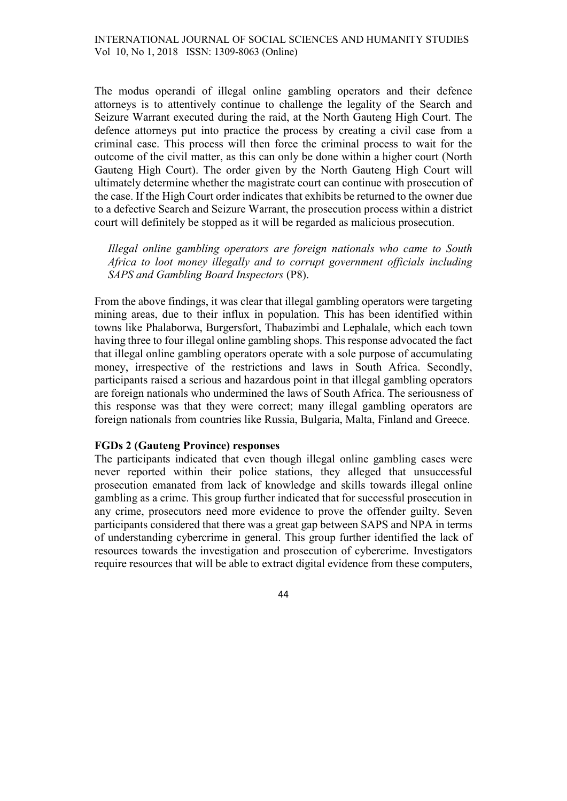The modus operandi of illegal online gambling operators and their defence attorneys is to attentively continue to challenge the legality of the Search and Seizure Warrant executed during the raid, at the North Gauteng High Court. The defence attorneys put into practice the process by creating a civil case from a criminal case. This process will then force the criminal process to wait for the outcome of the civil matter, as this can only be done within a higher court (North Gauteng High Court). The order given by the North Gauteng High Court will ultimately determine whether the magistrate court can continue with prosecution of the case. If the High Court order indicates that exhibits be returned to the owner due to a defective Search and Seizure Warrant, the prosecution process within a district court will definitely be stopped as it will be regarded as malicious prosecution.

Illegal online gambling operators are foreign nationals who came to South Africa to loot money illegally and to corrupt government officials including SAPS and Gambling Board Inspectors (P8).

From the above findings, it was clear that illegal gambling operators were targeting mining areas, due to their influx in population. This has been identified within towns like Phalaborwa, Burgersfort, Thabazimbi and Lephalale, which each town having three to four illegal online gambling shops. This response advocated the fact that illegal online gambling operators operate with a sole purpose of accumulating money, irrespective of the restrictions and laws in South Africa. Secondly, participants raised a serious and hazardous point in that illegal gambling operators are foreign nationals who undermined the laws of South Africa. The seriousness of this response was that they were correct; many illegal gambling operators are foreign nationals from countries like Russia, Bulgaria, Malta, Finland and Greece.

### FGDs 2 (Gauteng Province) responses

The participants indicated that even though illegal online gambling cases were never reported within their police stations, they alleged that unsuccessful prosecution emanated from lack of knowledge and skills towards illegal online gambling as a crime. This group further indicated that for successful prosecution in any crime, prosecutors need more evidence to prove the offender guilty. Seven participants considered that there was a great gap between SAPS and NPA in terms of understanding cybercrime in general. This group further identified the lack of resources towards the investigation and prosecution of cybercrime. Investigators require resources that will be able to extract digital evidence from these computers,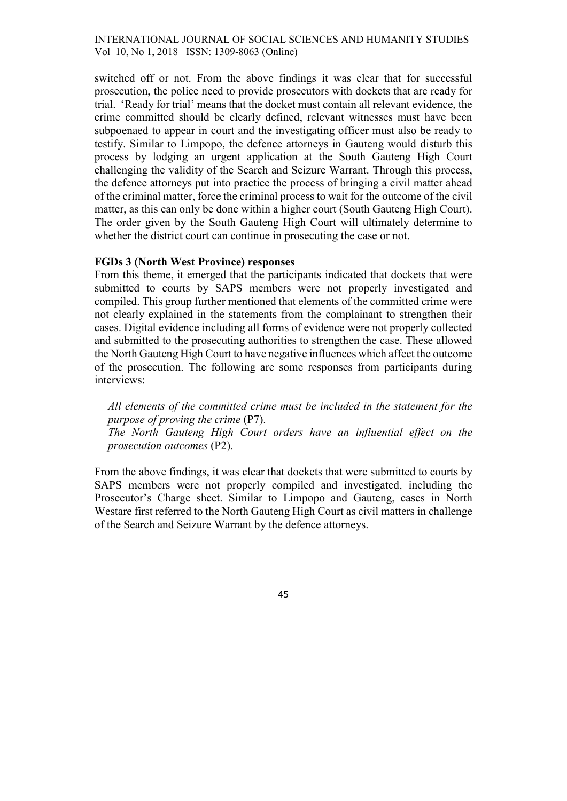switched off or not. From the above findings it was clear that for successful prosecution, the police need to provide prosecutors with dockets that are ready for trial. 'Ready for trial' means that the docket must contain all relevant evidence, the crime committed should be clearly defined, relevant witnesses must have been subpoenaed to appear in court and the investigating officer must also be ready to testify. Similar to Limpopo, the defence attorneys in Gauteng would disturb this process by lodging an urgent application at the South Gauteng High Court challenging the validity of the Search and Seizure Warrant. Through this process, the defence attorneys put into practice the process of bringing a civil matter ahead of the criminal matter, force the criminal process to wait for the outcome of the civil matter, as this can only be done within a higher court (South Gauteng High Court). The order given by the South Gauteng High Court will ultimately determine to whether the district court can continue in prosecuting the case or not.

#### FGDs 3 (North West Province) responses

From this theme, it emerged that the participants indicated that dockets that were submitted to courts by SAPS members were not properly investigated and compiled. This group further mentioned that elements of the committed crime were not clearly explained in the statements from the complainant to strengthen their cases. Digital evidence including all forms of evidence were not properly collected and submitted to the prosecuting authorities to strengthen the case. These allowed the North Gauteng High Court to have negative influences which affect the outcome of the prosecution. The following are some responses from participants during interviews:

All elements of the committed crime must be included in the statement for the purpose of proving the crime (P7). The North Gauteng High Court orders have an influential effect on the prosecution outcomes (P2).

From the above findings, it was clear that dockets that were submitted to courts by SAPS members were not properly compiled and investigated, including the Prosecutor's Charge sheet. Similar to Limpopo and Gauteng, cases in North Westare first referred to the North Gauteng High Court as civil matters in challenge of the Search and Seizure Warrant by the defence attorneys.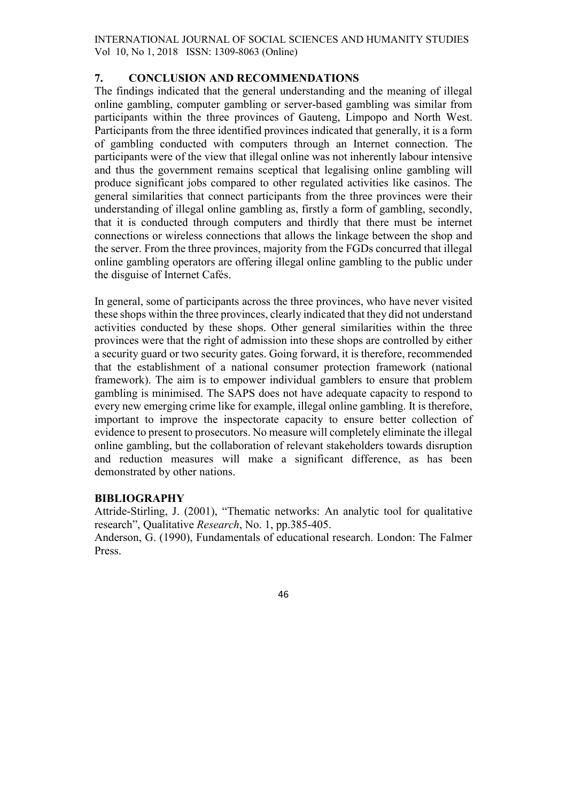# 7. CONCLUSION AND RECOMMENDATIONS

The findings indicated that the general understanding and the meaning of illegal online gambling, computer gambling or server-based gambling was similar from participants within the three provinces of Gauteng, Limpopo and North West. Participants from the three identified provinces indicated that generally, it is a form of gambling conducted with computers through an Internet connection. The participants were of the view that illegal online was not inherently labour intensive and thus the government remains sceptical that legalising online gambling will produce significant jobs compared to other regulated activities like casinos. The general similarities that connect participants from the three provinces were their understanding of illegal online gambling as, firstly a form of gambling, secondly, that it is conducted through computers and thirdly that there must be internet connections or wireless connections that allows the linkage between the shop and the server. From the three provinces, majority from the FGDs concurred that illegal online gambling operators are offering illegal online gambling to the public under the disguise of Internet Cafés.

In general, some of participants across the three provinces, who have never visited these shops within the three provinces, clearly indicated that they did not understand activities conducted by these shops. Other general similarities within the three provinces were that the right of admission into these shops are controlled by either a security guard or two security gates. Going forward, it is therefore, recommended that the establishment of a national consumer protection framework (national framework). The aim is to empower individual gamblers to ensure that problem gambling is minimised. The SAPS does not have adequate capacity to respond to every new emerging crime like for example, illegal online gambling. It is therefore, important to improve the inspectorate capacity to ensure better collection of evidence to present to prosecutors. No measure will completely eliminate the illegal online gambling, but the collaboration of relevant stakeholders towards disruption and reduction measures will make a significant difference, as has been demonstrated by other nations.

### BIBLIOGRAPHY

Attride-Stirling, J. (2001), "Thematic networks: An analytic tool for qualitative research", Qualitative Research, No. 1, pp.385-405.

Anderson, G. (1990), Fundamentals of educational research. London: The Falmer Press.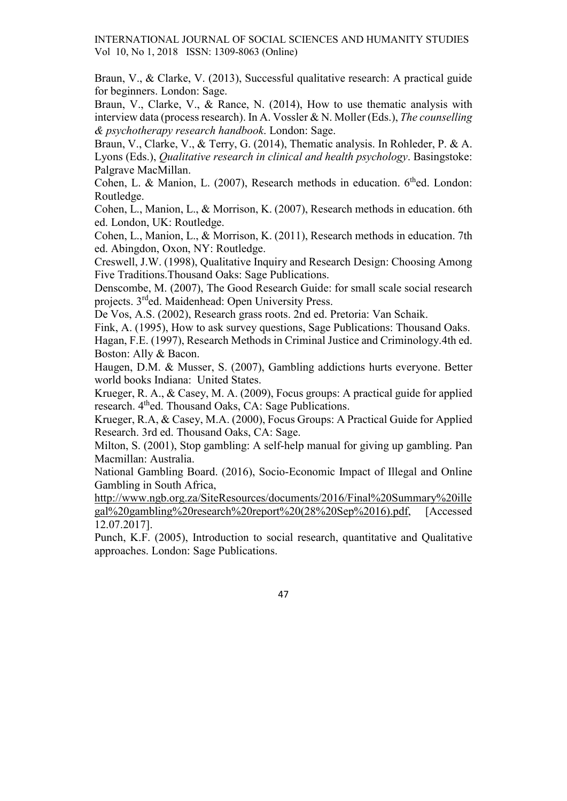Braun, V., & Clarke, V. (2013), Successful qualitative research: A practical guide for beginners. London: Sage.

Braun, V., Clarke, V., & Rance, N. (2014), How to use thematic analysis with interview data (process research). In A. Vossler & N. Moller (Eds.), The counselling & psychotherapy research handbook. London: Sage.

Braun, V., Clarke, V., & Terry, G. (2014), Thematic analysis. In Rohleder, P. & A. Lyons (Eds.), Qualitative research in clinical and health psychology. Basingstoke: Palgrave MacMillan.

Cohen, L. & Manion, L. (2007), Research methods in education. 6<sup>th</sup>ed. London: Routledge.

Cohen, L., Manion, L., & Morrison, K. (2007), Research methods in education. 6th ed. London, UK: Routledge.

Cohen, L., Manion, L., & Morrison, K. (2011), Research methods in education. 7th ed. Abingdon, Oxon, NY: Routledge.

Creswell, J.W. (1998), Qualitative Inquiry and Research Design: Choosing Among Five Traditions.Thousand Oaks: Sage Publications.

Denscombe, M. (2007), The Good Research Guide: for small scale social research projects. 3rded. Maidenhead: Open University Press.

De Vos, A.S. (2002), Research grass roots. 2nd ed. Pretoria: Van Schaik.

Fink, A. (1995), How to ask survey questions, Sage Publications: Thousand Oaks. Hagan, F.E. (1997), Research Methods in Criminal Justice and Criminology.4th ed.

Boston: Ally & Bacon.

Haugen, D.M. & Musser, S. (2007), Gambling addictions hurts everyone. Better world books Indiana: United States.

Krueger, R. A., & Casey, M. A. (2009), Focus groups: A practical guide for applied research. 4<sup>th</sup>ed. Thousand Oaks, CA: Sage Publications.

Krueger, R.A, & Casey, M.A. (2000), Focus Groups: A Practical Guide for Applied Research. 3rd ed. Thousand Oaks, CA: Sage.

Milton, S. (2001), Stop gambling: A self-help manual for giving up gambling. Pan Macmillan: Australia.

National Gambling Board. (2016), Socio-Economic Impact of Illegal and Online Gambling in South Africa,

http://www.ngb.org.za/SiteResources/documents/2016/Final%20Summary%20ille gal%20gambling%20research%20report%20(28%20Sep%2016).pdf, [Accessed 12.07.2017].

Punch, K.F. (2005), Introduction to social research, quantitative and Qualitative approaches. London: Sage Publications.